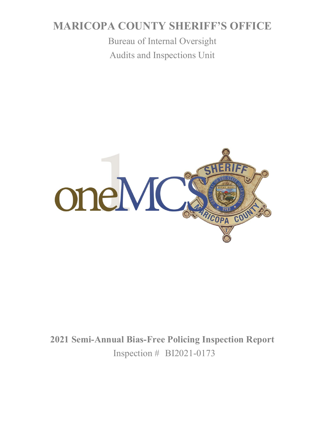# **MARICOPA COUNTY SHERIFF'S OFFICE**

Bureau of Internal Oversight Audits and Inspections Unit



**2021 Semi-Annual Bias-Free Policing Inspection Report** Inspection # BI2021-0173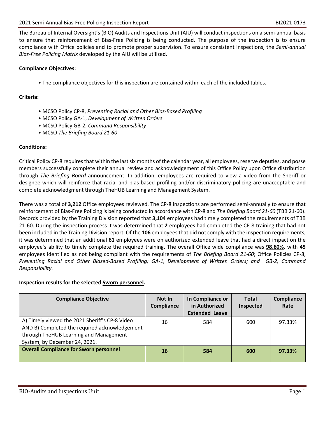The Bureau of Internal Oversight's (BIO) Audits and Inspections Unit (AIU) will conduct inspections on a semi-annual basis to ensure that reinforcement of Bias-Free Policing is being conducted. The purpose of the inspection is to ensure compliance with Office policies and to promote proper supervision. To ensure consistent inspections, the *Semi-annual Bias-Free Policing Matrix* developed by the AIU will be utilized.

#### **Compliance Objectives:**

• The compliance objectives for this inspection are contained within each of the included tables.

#### **Criteria:**

- MCSO Policy CP-8, *Preventing Racial and Other Bias-Based Profiling*
- MCSO Policy GA-1, *Development of Written Orders*
- MCSO Policy GB-2, *Command Responsibility*
- MCSO *The Briefing Board 21-60*

#### **Conditions:**

Critical Policy CP-8 requires that within the last six months of the calendar year, all employees, reserve deputies, and posse members successfully complete their annual review and acknowledgement of this Office Policy upon Office distribution through *The Briefing Board* announcement. In addition, employees are required to view a video from the Sheriff or designee which will reinforce that racial and bias-based profiling and/or discriminatory policing are unacceptable and complete acknowledgment through TheHUB Learning and Management System.

There was a total of **3,212** Office employees reviewed. The CP-8 inspections are performed semi-annually to ensure that reinforcement of Bias-Free Policing is being conducted in accordance with CP-8 and *The Briefing Board 21-60* (TBB 21-60). Records provided by the Training Division reported that **3,104** employees had timely completed the requirements of TBB 21-60. During the inspection process it was determined that **2** employees had completed the CP-8 training that had not been included in the Training Division report. Of the **106** employees that did not comply with the inspection requirements, it was determined that an additional **61** employees were on authorized extended leave that had a direct impact on the employee's ability to timely complete the required training. The overall Office wide compliance was **98.60%**, with **45** employees identified as not being compliant with the requirements of *The Briefing Board 21-60*; Office Policies CP-8, *Preventing Racial and Other Biased-Based Profiling; GA-1, Development of Written Orders; and GB-2, Command Responsibility.* 

#### **Inspection results for the selected Sworn personnel.**

| <b>Compliance Objective</b>                                                                     | Not In<br>Compliance | In Compliance or<br>in Authorized<br><b>Extended Leave</b> | <b>Total</b><br>Inspected | <b>Compliance</b><br>Rate |
|-------------------------------------------------------------------------------------------------|----------------------|------------------------------------------------------------|---------------------------|---------------------------|
| A) Timely viewed the 2021 Sheriff's CP-8 Video<br>AND B) Completed the required acknowledgement | 16                   | 584                                                        | 600                       | 97.33%                    |
| through TheHUB Learning and Management                                                          |                      |                                                            |                           |                           |
| System, by December 24, 2021.                                                                   |                      |                                                            |                           |                           |
| <b>Overall Compliance for Sworn personnel</b>                                                   | 16                   | 584                                                        | 600                       | 97.33%                    |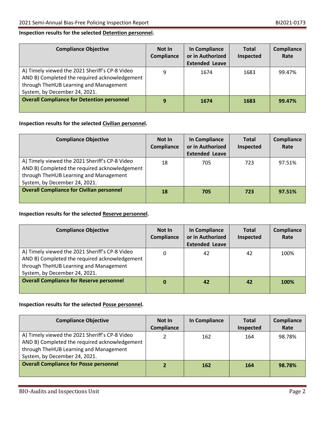#### **Inspection results for the selected Detention personnel.**

| <b>Compliance Objective</b>                                                                                                                                                | Not In<br>Compliance | In Compliance<br>or in Authorized<br><b>Extended Leave</b> | <b>Total</b><br>Inspected | <b>Compliance</b><br>Rate |
|----------------------------------------------------------------------------------------------------------------------------------------------------------------------------|----------------------|------------------------------------------------------------|---------------------------|---------------------------|
| A) Timely viewed the 2021 Sheriff's CP-8 Video<br>AND B) Completed the required acknowledgement<br>through TheHUB Learning and Management<br>System, by December 24, 2021. | 9                    | 1674                                                       | 1683                      | 99.47%                    |
| <b>Overall Compliance for Detention personnel</b>                                                                                                                          | 9                    | 1674                                                       | 1683                      | 99.47%                    |

#### **Inspection results for the selected Civilian personnel.**

| <b>Compliance Objective</b>                                                                                                                                                | Not In<br>Compliance | In Compliance<br>or in Authorized<br><b>Extended Leave</b> | <b>Total</b><br>Inspected | Compliance<br>Rate |
|----------------------------------------------------------------------------------------------------------------------------------------------------------------------------|----------------------|------------------------------------------------------------|---------------------------|--------------------|
| A) Timely viewed the 2021 Sheriff's CP-8 Video<br>AND B) Completed the required acknowledgement<br>through TheHUB Learning and Management<br>System, by December 24, 2021. | 18                   | 705                                                        | 723                       | 97.51%             |
| <b>Overall Compliance for Civilian personnel</b>                                                                                                                           | 18                   | 705                                                        | 723                       | 97.51%             |

#### **Inspection results for the selected Reserve personnel.**

| <b>Compliance Objective</b>                                                                                                                                                | Not In<br>Compliance | In Compliance<br>or in Authorized<br><b>Extended Leave</b> | <b>Total</b><br>Inspected | Compliance<br>Rate |
|----------------------------------------------------------------------------------------------------------------------------------------------------------------------------|----------------------|------------------------------------------------------------|---------------------------|--------------------|
| A) Timely viewed the 2021 Sheriff's CP-8 Video<br>AND B) Completed the required acknowledgement<br>through TheHUB Learning and Management<br>System, by December 24, 2021. |                      | 42                                                         | 42                        | 100%               |
| <b>Overall Compliance for Reserve personnel</b>                                                                                                                            | 0                    | 42                                                         | 42                        | 100%               |

#### **Inspection results for the selected Posse personnel.**

| <b>Compliance Objective</b>                                                                                                                                                | Not In<br>Compliance | <b>In Compliance</b> | <b>Total</b><br>Inspected | Compliance<br>Rate |
|----------------------------------------------------------------------------------------------------------------------------------------------------------------------------|----------------------|----------------------|---------------------------|--------------------|
| A) Timely viewed the 2021 Sheriff's CP-8 Video<br>AND B) Completed the required acknowledgement<br>through TheHUB Learning and Management<br>System, by December 24, 2021. |                      | 162                  | 164                       | 98.78%             |
| <b>Overall Compliance for Posse personnel</b>                                                                                                                              |                      | 162                  | 164                       | 98.78%             |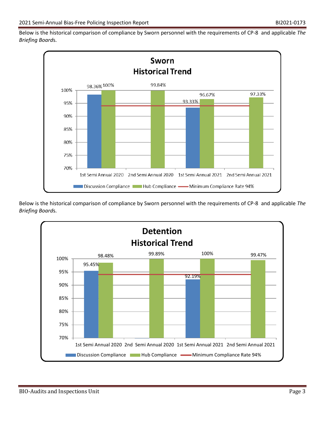Below is the historical comparison of compliance by Sworn personnel with the requirements of CP-8 and applicable *The Briefing Board*s.



Below is the historical comparison of compliance by Sworn personnel with the requirements of CP-8 and applicable *The Briefing Board*s.

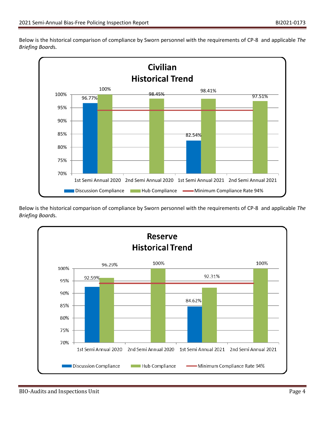Below is the historical comparison of compliance by Sworn personnel with the requirements of CP-8 and applicable *The Briefing Board*s.



Below is the historical comparison of compliance by Sworn personnel with the requirements of CP-8 and applicable *The Briefing Board*s.

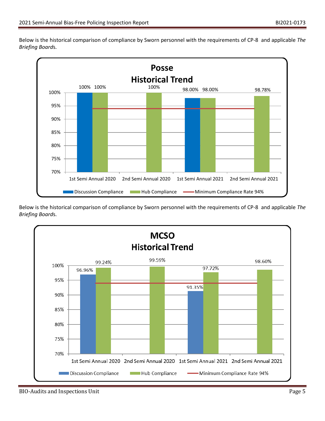Below is the historical comparison of compliance by Sworn personnel with the requirements of CP-8 and applicable *The Briefing Board*s.



Below is the historical comparison of compliance by Sworn personnel with the requirements of CP-8 and applicable *The Briefing Board*s.

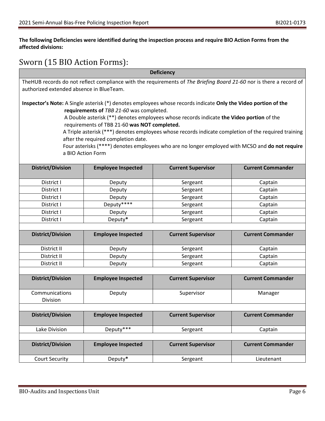#### **The following Deficiencies were identified during the inspection process and require BIO Action Forms from the affected divisions:**

## Sworn (15 BIO Action Forms):

| <b>Deficiency</b>                                                                                                   |                                              |                                                                                                                |                          |  |
|---------------------------------------------------------------------------------------------------------------------|----------------------------------------------|----------------------------------------------------------------------------------------------------------------|--------------------------|--|
| TheHUB records do not reflect compliance with the requirements of The Briefing Board 21-60 nor is there a record of |                                              |                                                                                                                |                          |  |
| authorized extended absence in BlueTeam.                                                                            |                                              |                                                                                                                |                          |  |
|                                                                                                                     |                                              |                                                                                                                |                          |  |
|                                                                                                                     |                                              | Inspector's Note: A Single asterisk (*) denotes employees whose records indicate Only the Video portion of the |                          |  |
|                                                                                                                     | requirements of TBB 21-60 was completed.     |                                                                                                                |                          |  |
|                                                                                                                     |                                              | A Double asterisk (**) denotes employees whose records indicate the Video portion of the                       |                          |  |
|                                                                                                                     | requirements of TBB 21-60 was NOT completed. |                                                                                                                |                          |  |
|                                                                                                                     |                                              | A Triple asterisk (***) denotes employees whose records indicate completion of the required training           |                          |  |
|                                                                                                                     | after the required completion date.          |                                                                                                                |                          |  |
|                                                                                                                     |                                              | Four asterisks (****) denotes employees who are no longer employed with MCSO and do not require                |                          |  |
|                                                                                                                     | a BIO Action Form                            |                                                                                                                |                          |  |
|                                                                                                                     |                                              |                                                                                                                |                          |  |
| <b>District/Division</b>                                                                                            | <b>Employee Inspected</b>                    | <b>Current Supervisor</b>                                                                                      | <b>Current Commander</b> |  |
| District I                                                                                                          | Deputy                                       | Sergeant                                                                                                       | Captain                  |  |
| District I                                                                                                          | Deputy                                       | Sergeant                                                                                                       | Captain                  |  |
| District I                                                                                                          | Deputy                                       | Sergeant                                                                                                       | Captain                  |  |
| District I                                                                                                          | Deputy****                                   | Sergeant                                                                                                       | Captain                  |  |
| District I                                                                                                          | Deputy                                       | Sergeant                                                                                                       | Captain                  |  |
| District I                                                                                                          | Deputy*                                      | Sergeant                                                                                                       | Captain                  |  |
|                                                                                                                     |                                              |                                                                                                                |                          |  |
| <b>District/Division</b>                                                                                            | <b>Employee Inspected</b>                    | <b>Current Supervisor</b>                                                                                      | <b>Current Commander</b> |  |
|                                                                                                                     |                                              |                                                                                                                |                          |  |
| District II                                                                                                         | Deputy                                       | Sergeant                                                                                                       | Captain                  |  |
| District II                                                                                                         | Deputy                                       | Sergeant                                                                                                       | Captain                  |  |
| District II                                                                                                         | Deputy                                       | Sergeant                                                                                                       | Captain                  |  |
|                                                                                                                     |                                              |                                                                                                                |                          |  |
| <b>District/Division</b>                                                                                            | <b>Employee Inspected</b>                    | <b>Current Supervisor</b>                                                                                      | <b>Current Commander</b> |  |
| Communications                                                                                                      | Deputy                                       | Supervisor                                                                                                     | Manager                  |  |
| Division                                                                                                            |                                              |                                                                                                                |                          |  |
|                                                                                                                     |                                              |                                                                                                                |                          |  |
| <b>District/Division</b>                                                                                            | <b>Employee Inspected</b>                    | <b>Current Supervisor</b>                                                                                      | <b>Current Commander</b> |  |
|                                                                                                                     |                                              |                                                                                                                |                          |  |
| Lake Division                                                                                                       | Deputy***                                    | Sergeant                                                                                                       | Captain                  |  |
|                                                                                                                     |                                              |                                                                                                                |                          |  |
| <b>District/Division</b>                                                                                            | <b>Employee Inspected</b>                    | <b>Current Supervisor</b>                                                                                      | <b>Current Commander</b> |  |
| <b>Court Security</b>                                                                                               | Deputy*                                      | Sergeant                                                                                                       | Lieutenant               |  |
|                                                                                                                     |                                              |                                                                                                                |                          |  |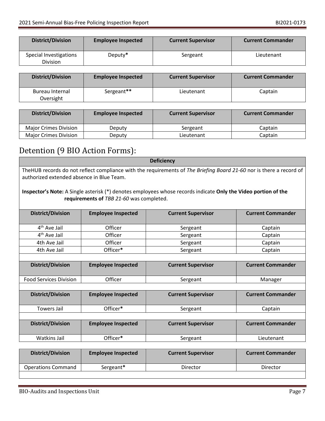| <b>District/Division</b>           | <b>Employee Inspected</b> | <b>Current Supervisor</b> | <b>Current Commander</b> |
|------------------------------------|---------------------------|---------------------------|--------------------------|
| Special Investigations<br>Division | Deputy*                   | Sergeant                  | Lieutenant               |

| <b>District/Division</b>     | <b>Employee Inspected</b> | <b>Current Supervisor</b> | <b>Current Commander</b> |
|------------------------------|---------------------------|---------------------------|--------------------------|
| Bureau Internal<br>Oversight | Sergeant**                | Lieutenant                | Captain                  |

| <b>District/Division</b> | <b>Employee Inspected</b> | <b>Current Supervisor</b> | <b>Current Commander</b> |
|--------------------------|---------------------------|---------------------------|--------------------------|
| Major Crimes Division    | Deputy                    | Sergeant                  | Captain                  |
| Major Crimes Division    | Deputy                    | Lieutenant                | Captain                  |

# Detention (9 BIO Action Forms):

| <b>Deficiency</b>                                                                                                                                                |                           |                           |                          |  |  |
|------------------------------------------------------------------------------------------------------------------------------------------------------------------|---------------------------|---------------------------|--------------------------|--|--|
| TheHUB records do not reflect compliance with the requirements of The Briefing Board 21-60 nor is there a record of<br>authorized extended absence in Blue Team. |                           |                           |                          |  |  |
| Inspector's Note: A Single asterisk (*) denotes employees whose records indicate Only the Video portion of the<br>requirements of TBB 21-60 was completed.       |                           |                           |                          |  |  |
| <b>District/Division</b>                                                                                                                                         | <b>Employee Inspected</b> | <b>Current Supervisor</b> | <b>Current Commander</b> |  |  |
| 4 <sup>th</sup> Ave Jail                                                                                                                                         | Officer                   | Sergeant                  | Captain                  |  |  |
| 4 <sup>th</sup> Ave Jail                                                                                                                                         | Officer                   | Sergeant                  | Captain                  |  |  |
| 4th Ave Jail                                                                                                                                                     | Officer                   | Sergeant                  | Captain                  |  |  |
| 4th Ave Jail                                                                                                                                                     | Officer*                  | Sergeant                  | Captain                  |  |  |
|                                                                                                                                                                  |                           |                           |                          |  |  |
| <b>District/Division</b>                                                                                                                                         | <b>Employee Inspected</b> | <b>Current Supervisor</b> | <b>Current Commander</b> |  |  |
| <b>Food Services Division</b>                                                                                                                                    | Officer                   | Sergeant                  | Manager                  |  |  |
|                                                                                                                                                                  |                           |                           |                          |  |  |
| <b>District/Division</b>                                                                                                                                         | <b>Employee Inspected</b> | <b>Current Supervisor</b> | <b>Current Commander</b> |  |  |
| <b>Towers Jail</b>                                                                                                                                               | Officer*                  | Sergeant                  | Captain                  |  |  |
|                                                                                                                                                                  |                           |                           |                          |  |  |
| <b>District/Division</b>                                                                                                                                         | <b>Employee Inspected</b> | <b>Current Supervisor</b> | <b>Current Commander</b> |  |  |
| <b>Watkins Jail</b>                                                                                                                                              | Officer*                  | Sergeant                  | Lieutenant               |  |  |
|                                                                                                                                                                  |                           |                           |                          |  |  |
| <b>District/Division</b>                                                                                                                                         | <b>Employee Inspected</b> | <b>Current Supervisor</b> | <b>Current Commander</b> |  |  |

|           | <b>Current Supervisor</b> | <b>Current Commander</b> |
|-----------|---------------------------|--------------------------|
| Sergeant* | Director                  | Director                 |
|           | <b>Employee Inspected</b> |                          |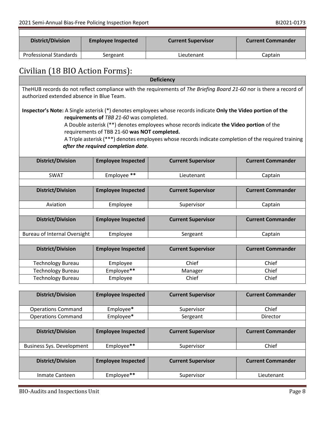| District/Division      | <b>Employee Inspected</b> | <b>Current Supervisor</b> | <b>Current Commander</b> |
|------------------------|---------------------------|---------------------------|--------------------------|
| Professional Standards | Sergeant                  | Lieutenant                | Captain                  |

# Civilian (18 BIO Action Forms):

| <b>Deficiency</b>                                                                                                                                                                                                                                                                                                                                                                                                                                     |                           |                           |                          |
|-------------------------------------------------------------------------------------------------------------------------------------------------------------------------------------------------------------------------------------------------------------------------------------------------------------------------------------------------------------------------------------------------------------------------------------------------------|---------------------------|---------------------------|--------------------------|
| TheHUB records do not reflect compliance with the requirements of The Briefing Board 21-60 nor is there a record of<br>authorized extended absence in Blue Team.                                                                                                                                                                                                                                                                                      |                           |                           |                          |
| Inspector's Note: A Single asterisk (*) denotes employees whose records indicate Only the Video portion of the<br>requirements of TBB 21-60 was completed.<br>A Double asterisk (**) denotes employees whose records indicate the Video portion of the<br>requirements of TBB 21-60 was NOT completed.<br>A Triple asterisk (***) denotes employees whose records indicate completion of the required training<br>after the required completion date. |                           |                           |                          |
| <b>District/Division</b>                                                                                                                                                                                                                                                                                                                                                                                                                              | <b>Employee Inspected</b> | <b>Current Supervisor</b> | <b>Current Commander</b> |
| <b>SWAT</b>                                                                                                                                                                                                                                                                                                                                                                                                                                           | Employee **               | Lieutenant                | Captain                  |
|                                                                                                                                                                                                                                                                                                                                                                                                                                                       |                           |                           |                          |
| <b>District/Division</b>                                                                                                                                                                                                                                                                                                                                                                                                                              | <b>Employee Inspected</b> | <b>Current Supervisor</b> | <b>Current Commander</b> |
| Aviation                                                                                                                                                                                                                                                                                                                                                                                                                                              | Employee                  | Supervisor                | Captain                  |
|                                                                                                                                                                                                                                                                                                                                                                                                                                                       |                           |                           |                          |
| <b>District/Division</b>                                                                                                                                                                                                                                                                                                                                                                                                                              | <b>Employee Inspected</b> | <b>Current Supervisor</b> | <b>Current Commander</b> |
| <b>Bureau of Internal Oversight</b>                                                                                                                                                                                                                                                                                                                                                                                                                   | Employee                  | Sergeant                  | Captain                  |
|                                                                                                                                                                                                                                                                                                                                                                                                                                                       |                           |                           |                          |
| <b>District/Division</b>                                                                                                                                                                                                                                                                                                                                                                                                                              | <b>Employee Inspected</b> | <b>Current Supervisor</b> | <b>Current Commander</b> |
| <b>Technology Bureau</b>                                                                                                                                                                                                                                                                                                                                                                                                                              | Employee                  | Chief                     | Chief                    |
| <b>Technology Bureau</b>                                                                                                                                                                                                                                                                                                                                                                                                                              | Employee**                | Manager                   | Chief                    |
| <b>Technology Bureau</b>                                                                                                                                                                                                                                                                                                                                                                                                                              | Employee                  | Chief                     | Chief                    |
|                                                                                                                                                                                                                                                                                                                                                                                                                                                       |                           |                           |                          |
| <b>District/Division</b>                                                                                                                                                                                                                                                                                                                                                                                                                              | <b>Employee Inspected</b> | <b>Current Supervisor</b> | <b>Current Commander</b> |

| <b>Operations Command</b>        | Employee*                 | Supervisor                | Chief                    |
|----------------------------------|---------------------------|---------------------------|--------------------------|
| <b>Operations Command</b>        | Employee*                 | Sergeant                  | Director                 |
|                                  |                           |                           |                          |
| <b>District/Division</b>         | <b>Employee Inspected</b> | <b>Current Supervisor</b> | <b>Current Commander</b> |
|                                  |                           |                           |                          |
| <b>Business Sys. Development</b> | Employee**                | Supervisor                | Chief                    |
|                                  |                           |                           |                          |
| <b>District/Division</b>         | <b>Employee Inspected</b> | <b>Current Supervisor</b> | <b>Current Commander</b> |
|                                  |                           |                           |                          |
| Inmate Canteen                   | Employee**                | Supervisor                | Lieutenant               |
|                                  |                           |                           |                          |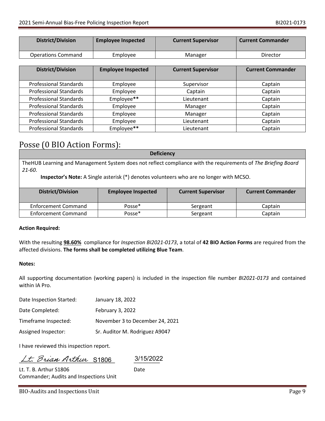| District/Division  | <b>Employee Inspected</b> | <b>Current Supervisor</b> | <b>Current Commander</b> |
|--------------------|---------------------------|---------------------------|--------------------------|
| Operations Command | Employee                  | Manager                   | Director                 |

| <b>District/Division</b>      | <b>Employee Inspected</b> | <b>Current Supervisor</b> | <b>Current Commander</b> |
|-------------------------------|---------------------------|---------------------------|--------------------------|
| <b>Professional Standards</b> | Employee                  | Supervisor                | Captain                  |
| <b>Professional Standards</b> | Employee                  | Captain                   | Captain                  |
| <b>Professional Standards</b> | Employee**                | Lieutenant                | Captain                  |
| <b>Professional Standards</b> | Employee                  | Manager                   | Captain                  |
| <b>Professional Standards</b> | Employee                  | Manager                   | Captain                  |
| <b>Professional Standards</b> | Employee                  | Lieutenant                | Captain                  |
| <b>Professional Standards</b> | Employee**                | Lieutenant                | Captain                  |

### Posse (0 BIO Action Forms):

| <b>Deficiency</b>                                                                                              |
|----------------------------------------------------------------------------------------------------------------|
| The HUB Learning and Management System does not reflect compliance with the requirements of The Briefing Board |
| 21-60.                                                                                                         |
| <b>Inspector's Note:</b> A Single asterisk (*) denotes volunteers who are no longer with MCSO.                 |

| <b>District/Division</b>   | <b>Employee Inspected</b> | <b>Current Supervisor</b> | <b>Current Commander</b> |
|----------------------------|---------------------------|---------------------------|--------------------------|
| <b>Enforcement Command</b> | Posse*                    | Sergeant                  | Captain                  |
| <b>Enforcement Command</b> | Posse*                    | Sergeant                  | Captain                  |

#### **Action Required:**

With the resulting **98.60%** compliance for *Inspection BI2021-0173*, a total of **42 BIO Action Forms** are required from the affected divisions. **The forms shall be completed utilizing Blue Team**.

#### **Notes:**

All supporting documentation (working papers) is included in the inspection file number *BI2021-0173* and contained within IA Pro.

| Date Inspection Started: | January 18, 2022                |
|--------------------------|---------------------------------|
| Date Completed:          | February 3, 2022                |
| Timeframe Inspected:     | November 3 to December 24, 2021 |
| Assigned Inspector:      | Sr. Auditor M. Rodriguez A9047  |

I have reviewed this inspection report.

Lt. Brian Arthur S1806

S1806 3/15/2022

| Lt. T. B. Arthur S1806                 | Date |
|----------------------------------------|------|
| Commander; Audits and Inspections Unit |      |